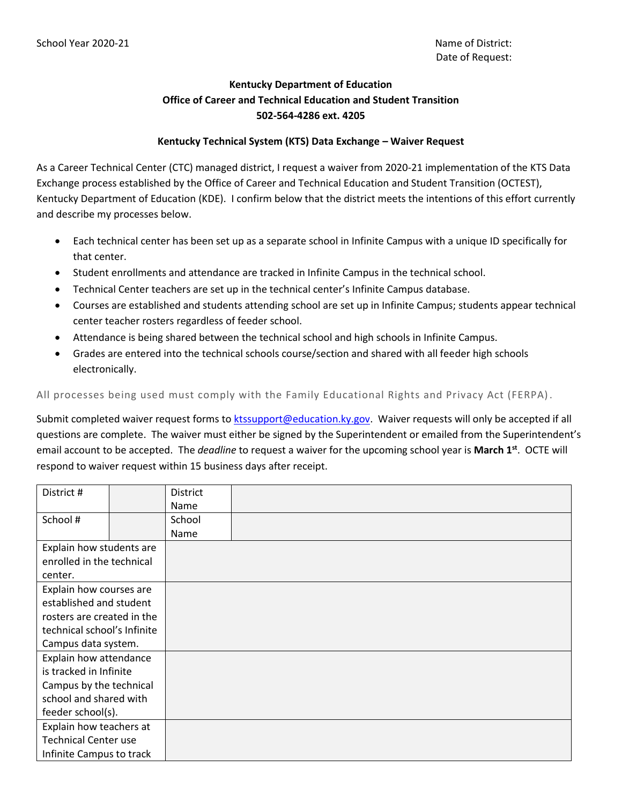## **Kentucky Department of Education Office of Career and Technical Education and Student Transition 502-564-4286 ext. 4205**

## **Kentucky Technical System (KTS) Data Exchange – Waiver Request**

As a Career Technical Center (CTC) managed district, I request a waiver from 2020-21 implementation of the KTS Data Exchange process established by the Office of Career and Technical Education and Student Transition (OCTEST), Kentucky Department of Education (KDE). I confirm below that the district meets the intentions of this effort currently and describe my processes below.

- Each technical center has been set up as a separate school in Infinite Campus with a unique ID specifically for that center.
- Student enrollments and attendance are tracked in Infinite Campus in the technical school.
- Technical Center teachers are set up in the technical center's Infinite Campus database.
- Courses are established and students attending school are set up in Infinite Campus; students appear technical center teacher rosters regardless of feeder school.
- Attendance is being shared between the technical school and high schools in Infinite Campus.
- Grades are entered into the technical schools course/section and shared with all feeder high schools electronically.

All processes being used must comply with the Family Educational Rights and Privacy Act (FERPA).

Submit completed waiver request forms to [ktssupport@education.ky.gov.](mailto:%20ktssupport@education.ky.gov) Waiver requests will only be accepted if all questions are complete. The waiver must either be signed by the Superintendent or emailed from the Superintendent's email account to be accepted. The *deadline* to request a waiver for the upcoming school year is **March 1st**. OCTE will respond to waiver request within 15 business days after receipt.

| District #                  |  | <b>District</b> |  |
|-----------------------------|--|-----------------|--|
|                             |  | Name            |  |
| School #                    |  | School          |  |
|                             |  | Name            |  |
| Explain how students are    |  |                 |  |
| enrolled in the technical   |  |                 |  |
| center.                     |  |                 |  |
| Explain how courses are     |  |                 |  |
| established and student     |  |                 |  |
| rosters are created in the  |  |                 |  |
| technical school's Infinite |  |                 |  |
| Campus data system.         |  |                 |  |
| Explain how attendance      |  |                 |  |
| is tracked in Infinite      |  |                 |  |
| Campus by the technical     |  |                 |  |
| school and shared with      |  |                 |  |
| feeder school(s).           |  |                 |  |
| Explain how teachers at     |  |                 |  |
| <b>Technical Center use</b> |  |                 |  |
| Infinite Campus to track    |  |                 |  |